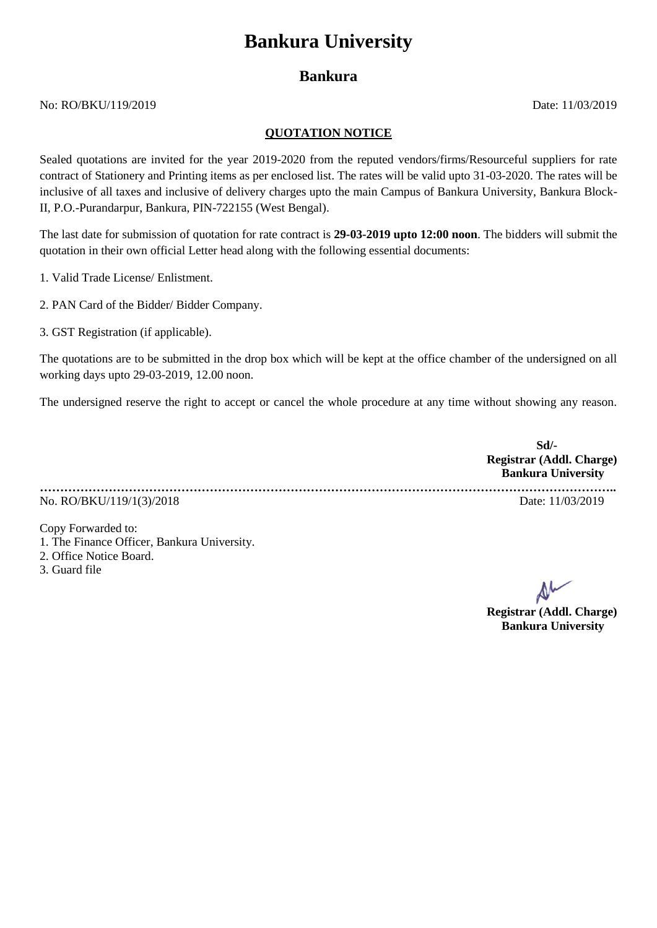## **Bankura University**

## **Bankura**

No: RO/BKU/119/2019 Date: 11/03/2019

## **QUOTATION NOTICE**

Sealed quotations are invited for the year 2019-2020 from the reputed vendors/firms/Resourceful suppliers for rate contract of Stationery and Printing items as per enclosed list. The rates will be valid upto 31-03-2020. The rates will be inclusive of all taxes and inclusive of delivery charges upto the main Campus of Bankura University, Bankura Block-II, P.O.-Purandarpur, Bankura, PIN-722155 (West Bengal).

The last date for submission of quotation for rate contract is **29-03-2019 upto 12:00 noon**. The bidders will submit the quotation in their own official Letter head along with the following essential documents:

1. Valid Trade License/ Enlistment.

2. PAN Card of the Bidder/ Bidder Company.

3. GST Registration (if applicable).

The quotations are to be submitted in the drop box which will be kept at the office chamber of the undersigned on all working days upto 29-03-2019, 12.00 noon.

The undersigned reserve the right to accept or cancel the whole procedure at any time without showing any reason.

**Sd/- Registrar (Addl. Charge) Bankura University ……………………………………………………………………………………………………………………………..** No. RO/BKU/119/1(3)/2018 Date: 11/03/2019

Copy Forwarded to:

- 1. The Finance Officer, Bankura University.
- 2. Office Notice Board.
- 3. Guard file

**Registrar (Addl. Charge) Bankura University**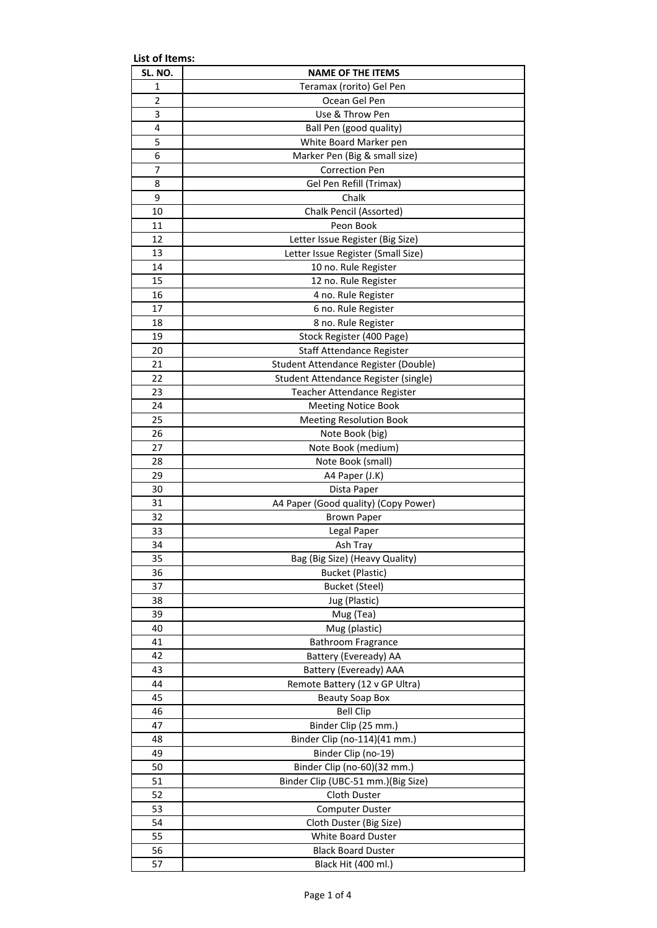| List of Items: |                                      |  |
|----------------|--------------------------------------|--|
| SL. NO.        | <b>NAME OF THE ITEMS</b>             |  |
| 1              | Teramax (rorito) Gel Pen             |  |
| $\overline{2}$ | Ocean Gel Pen                        |  |
| 3              | Use & Throw Pen                      |  |
| 4              | Ball Pen (good quality)              |  |
| 5              | White Board Marker pen               |  |
| 6              | Marker Pen (Big & small size)        |  |
| 7              | <b>Correction Pen</b>                |  |
| 8              | Gel Pen Refill (Trimax)              |  |
| 9              | Chalk                                |  |
| 10             | <b>Chalk Pencil (Assorted)</b>       |  |
| 11             | Peon Book                            |  |
| 12             | Letter Issue Register (Big Size)     |  |
| 13             | Letter Issue Register (Small Size)   |  |
| 14             | 10 no. Rule Register                 |  |
| 15             | 12 no. Rule Register                 |  |
| 16             | 4 no. Rule Register                  |  |
| 17             | 6 no. Rule Register                  |  |
| 18             | 8 no. Rule Register                  |  |
| 19             | Stock Register (400 Page)            |  |
| 20             | Staff Attendance Register            |  |
| 21             | Student Attendance Register (Double) |  |
| 22             | Student Attendance Register (single) |  |
| 23             | Teacher Attendance Register          |  |
| 24             | <b>Meeting Notice Book</b>           |  |
| 25             | <b>Meeting Resolution Book</b>       |  |
| 26             | Note Book (big)                      |  |
| 27             | Note Book (medium)                   |  |
| 28             | Note Book (small)                    |  |
| 29             | A4 Paper (J.K)                       |  |
| 30             | Dista Paper                          |  |
| 31             | A4 Paper (Good quality) (Copy Power) |  |
| 32             | <b>Brown Paper</b>                   |  |
| 33             | Legal Paper                          |  |
| 34             | Ash Tray                             |  |
| 35             | Bag (Big Size) (Heavy Quality)       |  |
| 36             | <b>Bucket (Plastic)</b>              |  |
| 37             | <b>Bucket (Steel)</b>                |  |
| 38             | Jug (Plastic)                        |  |
| 39             | Mug (Tea)                            |  |
| 40             | Mug (plastic)                        |  |
| 41             | <b>Bathroom Fragrance</b>            |  |
| 42             | Battery (Eveready) AA                |  |
| 43             | Battery (Eveready) AAA               |  |
| 44             | Remote Battery (12 v GP Ultra)       |  |
| 45             | <b>Beauty Soap Box</b>               |  |
| 46             | <b>Bell Clip</b>                     |  |
| 47             | Binder Clip (25 mm.)                 |  |
| 48             | Binder Clip (no-114)(41 mm.)         |  |
| 49             | Binder Clip (no-19)                  |  |
| 50             | Binder Clip (no-60)(32 mm.)          |  |
| 51             | Binder Clip (UBC-51 mm.)(Big Size)   |  |
| 52             | Cloth Duster                         |  |
| 53             | <b>Computer Duster</b>               |  |
| 54             |                                      |  |
| 55             | Cloth Duster (Big Size)              |  |
|                | White Board Duster                   |  |
| 56             | <b>Black Board Duster</b>            |  |
| 57             | Black Hit (400 ml.)                  |  |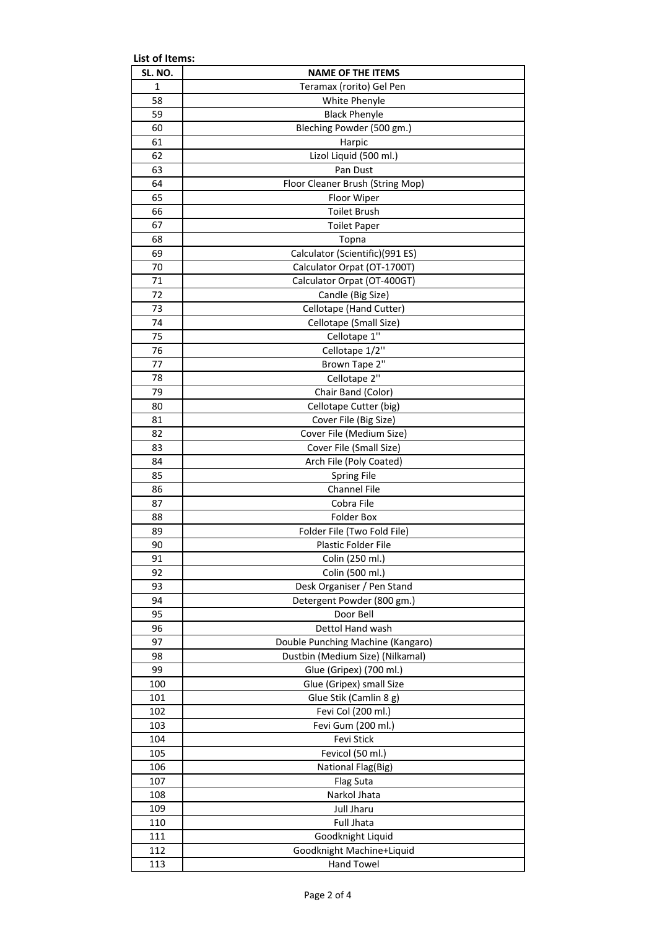| List of Items: |                                   |
|----------------|-----------------------------------|
| SL. NO.        | <b>NAME OF THE ITEMS</b>          |
| 1              | Teramax (rorito) Gel Pen          |
| 58             | White Phenyle                     |
| 59             | <b>Black Phenyle</b>              |
| 60             | Bleching Powder (500 gm.)         |
| 61             | Harpic                            |
| 62             | Lizol Liquid (500 ml.)            |
| 63             | Pan Dust                          |
| 64             | Floor Cleaner Brush (String Mop)  |
| 65             | Floor Wiper                       |
| 66             | <b>Toilet Brush</b>               |
| 67             | <b>Toilet Paper</b>               |
| 68             | Topna                             |
| 69             | Calculator (Scientific)(991 ES)   |
| 70             | Calculator Orpat (OT-1700T)       |
| 71             | Calculator Orpat (OT-400GT)       |
| 72             | Candle (Big Size)                 |
| 73             | Cellotape (Hand Cutter)           |
| 74             | Cellotape (Small Size)            |
| 75             | Cellotape 1"                      |
| 76             | Cellotape 1/2"                    |
| 77             | Brown Tape 2"                     |
| 78             | Cellotape 2"                      |
| 79             | Chair Band (Color)                |
| 80             | Cellotape Cutter (big)            |
| 81             | Cover File (Big Size)             |
| 82             | Cover File (Medium Size)          |
| 83             | Cover File (Small Size)           |
| 84             | Arch File (Poly Coated)           |
| 85             | Spring File                       |
| 86             | <b>Channel File</b>               |
| 87             | Cobra File                        |
| 88             | <b>Folder Box</b>                 |
| 89             | Folder File (Two Fold File)       |
| 90             | Plastic Folder File               |
| 91             | Colin (250 ml.)                   |
| 92             | Colin (500 ml.)                   |
| 93             | Desk Organiser / Pen Stand        |
| 94             | Detergent Powder (800 gm.)        |
| 95             | Door Bell                         |
| 96             | Dettol Hand wash                  |
| 97             | Double Punching Machine (Kangaro) |
| 98             | Dustbin (Medium Size) (Nilkamal)  |
| 99             | Glue (Gripex) (700 ml.)           |
| 100            | Glue (Gripex) small Size          |
| 101            | Glue Stik (Camlin 8 g)            |
| 102            | Fevi Col (200 ml.)                |
| 103            | Fevi Gum (200 ml.)                |
| 104            | Fevi Stick                        |
| 105            | Fevicol (50 ml.)                  |
| 106            | National Flag(Big)                |
| 107            | Flag Suta                         |
| 108            | Narkol Jhata                      |
| 109            | Jull Jharu                        |
| 110            | <b>Full Jhata</b>                 |
| 111            | Goodknight Liquid                 |
| 112            | Goodknight Machine+Liquid         |
| 113            | <b>Hand Towel</b>                 |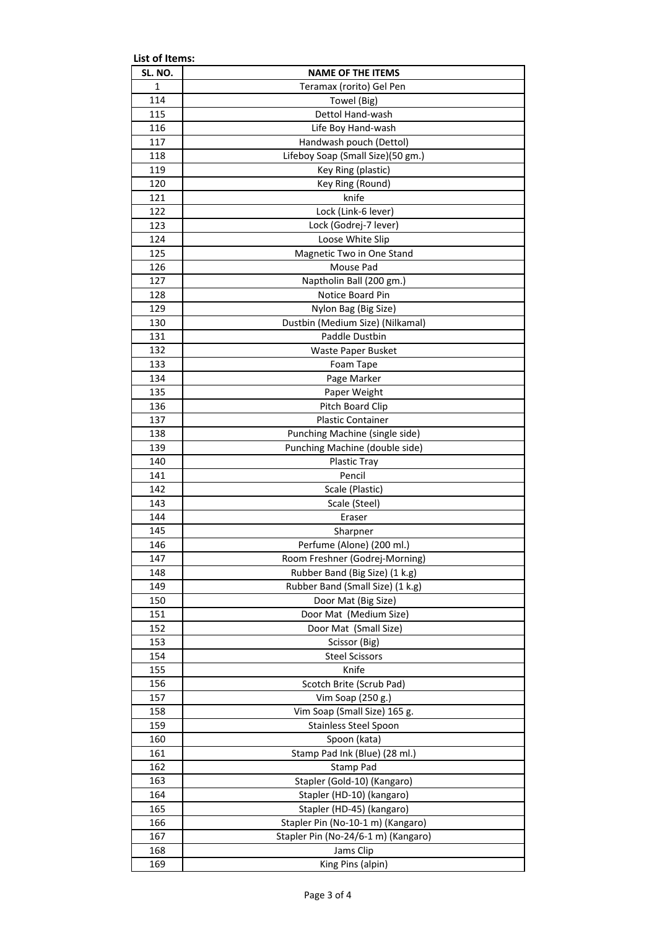| List of Items: |                                     |  |  |
|----------------|-------------------------------------|--|--|
| SL. NO.        | <b>NAME OF THE ITEMS</b>            |  |  |
| 1              | Teramax (rorito) Gel Pen            |  |  |
| 114            | Towel (Big)                         |  |  |
| 115            | Dettol Hand-wash                    |  |  |
| 116            | Life Boy Hand-wash                  |  |  |
| 117            | Handwash pouch (Dettol)             |  |  |
| 118            | Lifeboy Soap (Small Size)(50 gm.)   |  |  |
| 119            | Key Ring (plastic)                  |  |  |
| 120            | Key Ring (Round)                    |  |  |
| 121            | knife                               |  |  |
| 122            | Lock (Link-6 lever)                 |  |  |
| 123            | Lock (Godrej-7 lever)               |  |  |
| 124            | Loose White Slip                    |  |  |
| 125            | Magnetic Two in One Stand           |  |  |
| 126            | Mouse Pad                           |  |  |
| 127            | Naptholin Ball (200 gm.)            |  |  |
| 128            | Notice Board Pin                    |  |  |
| 129            | Nylon Bag (Big Size)                |  |  |
| 130            | Dustbin (Medium Size) (Nilkamal)    |  |  |
| 131            | Paddle Dustbin                      |  |  |
| 132            | Waste Paper Busket                  |  |  |
| 133            | Foam Tape                           |  |  |
| 134            | Page Marker                         |  |  |
| 135            | Paper Weight                        |  |  |
| 136            | Pitch Board Clip                    |  |  |
| 137            | <b>Plastic Container</b>            |  |  |
| 138            | Punching Machine (single side)      |  |  |
| 139            | Punching Machine (double side)      |  |  |
| 140            | Plastic Tray                        |  |  |
| 141            | Pencil                              |  |  |
| 142            | Scale (Plastic)                     |  |  |
| 143<br>144     | Scale (Steel)<br>Eraser             |  |  |
| 145            | Sharpner                            |  |  |
| 146            | Perfume (Alone) (200 ml.)           |  |  |
| 147            | Room Freshner (Godrej-Morning)      |  |  |
| 148            | Rubber Band (Big Size) (1 k.g)      |  |  |
| 149            | Rubber Band (Small Size) (1 k.g)    |  |  |
| 150            | Door Mat (Big Size)                 |  |  |
| 151            | Door Mat (Medium Size)              |  |  |
| 152            | Door Mat (Small Size)               |  |  |
| 153            | Scissor (Big)                       |  |  |
| 154            | <b>Steel Scissors</b>               |  |  |
| 155            | Knife                               |  |  |
| 156            | Scotch Brite (Scrub Pad)            |  |  |
| 157            | Vim Soap (250 g.)                   |  |  |
| 158            | Vim Soap (Small Size) 165 g.        |  |  |
| 159            | Stainless Steel Spoon               |  |  |
| 160            | Spoon (kata)                        |  |  |
| 161            | Stamp Pad Ink (Blue) (28 ml.)       |  |  |
| 162            | Stamp Pad                           |  |  |
| 163            | Stapler (Gold-10) (Kangaro)         |  |  |
| 164            | Stapler (HD-10) (kangaro)           |  |  |
| 165            | Stapler (HD-45) (kangaro)           |  |  |
| 166            | Stapler Pin (No-10-1 m) (Kangaro)   |  |  |
| 167            | Stapler Pin (No-24/6-1 m) (Kangaro) |  |  |
| 168            | Jams Clip                           |  |  |
| 169            | King Pins (alpin)                   |  |  |